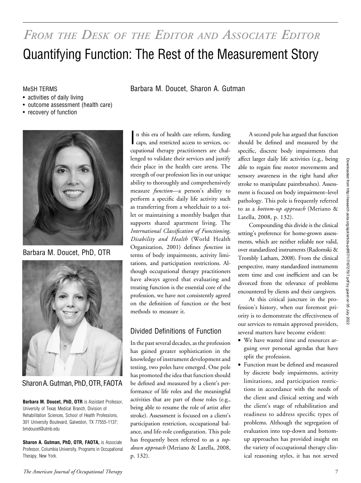# FROM THE DESK OF THE EDITOR AND ASSOCIATE EDITOR Quantifying Function: The Rest of the Measurement Story

MeSH TERMS Barbara M. Doucet, Sharon A. Gutman

- activities of daily living
- outcome assessment (health care)
- recovery of function



Barbara M. Doucet, PhD, OTR



Sharon A. Gutman, PhD, OTR, FAOTA

Barbara M. Doucet, PhD, OTR is Assistant Professor, University of Texas Medical Branch, Division of Rehabilitation Sciences, School of Health Professions, 301 University Boulevard, Galveston, TX 77555-1137; bmdoucet@utmb.edu

Sharon A. Gutman, PhD, OTR, FAOTA, is Associate Professor, Columbia University, Programs in Occupational Therapy, New York.

n this era of health care reform, funding<br>caps, and restricted access to services, ocn this era of health care reform, funding cupational therapy practitioners are challenged to validate their services and justify their place in the health care arena. The strength of our profession lies in our unique ability to thoroughly and comprehensively measure *function*—a person's ability to perform a specific daily life activity such as transferring from a wheelchair to a toilet or maintaining a monthly budget that supports shared apartment living. The International Classification of Functioning, Disability and Health (World Health Organization, 2001) defines function in terms of body impairments, activity limitations, and participation restrictions. Although occupational therapy practitioners have always agreed that evaluating and treating function is the essential core of the profession, we have not consistently agreed on the definition of function or the best methods to measure it.

### Divided Definitions of Function

In the past several decades, as the profession has gained greater sophistication in the knowledge of instrument development and testing, two poles have emerged. One pole has promoted the idea that function should be defined and measured by a client's performance of life roles and the meaningful activities that are part of those roles (e.g., being able to resume the role of artist after stroke). Assessment is focused on a client's participation restriction, occupational balance, and life-role configuration. This pole has frequently been referred to as a topdown approach (Meriano & Latella, 2008, p. 132).

A second pole has argued that function should be defined and measured by the specific, discrete body impairments that affect larger daily life activities (e.g., being able to regain fine motor movements and sensory awareness in the right hand after stroke to manipulate paintbrushes). Assessment is focused on body impairment–level pathology. This pole is frequently referred to as a *bottom-up approach* (Meriano & Latella, 2008, p. 132).

Compounding this divide is the clinical setting's preference for home-grown assessments, which are neither reliable nor valid, over standardized instruments (Radomski & Trombly Latham, 2008). From the clinical perspective, many standardized instruments seem time and cost inefficient and can be divorced from the relevance of problems encountered by clients and their caregivers.

At this critical juncture in the profession's history, when our foremost priority is to demonstrate the effectiveness of our services to remain approved providers, several matters have become evident:

- We have wasted time and resources arguing over personal agendas that have split the profession.
- Function must be defined and measured by discrete body impairments, activity limitations, and participation restrictions in accordance with the needs of the client and clinical setting and with the client's stage of rehabilitation and readiness to address specific types of problems. Although the segregation of evaluation into top-down and bottomup approaches has provided insight on the variety of occupational therapy clinical reasoning styles, it has not served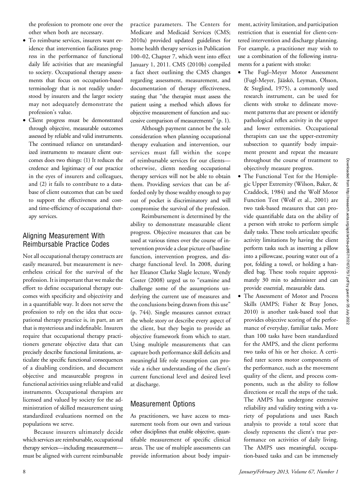the profession to promote one over the other when both are necessary.

- To reimburse services, insurers want evidence that intervention facilitates progress in the performance of functional daily life activities that are meaningful to society. Occupational therapy assessments that focus on occupation-based terminology that is not readily understood by insurers and the larger society may not adequately demonstrate the profession's value.
- Client progress must be demonstrated through objective, measurable outcomes assessed by reliable and valid instruments. The continued reliance on unstandardized instruments to measure client outcomes does two things: (1) It reduces the credence and legitimacy of our practice in the eyes of insurers and colleagues, and (2) it fails to contribute to a database of client outcomes that can be used to support the effectiveness and costand time-efficiency of occupational therapy services.

## Aligning Measurement With Reimbursable Practice Codes

Not all occupational therapy constructs are easily measured, but measurement is nevertheless critical for the survival of the profession. It is important that we make the effort to define occupational therapy outcomes with specificity and objectivity and in a quantifiable way. It does not serve the profession to rely on the idea that occupational therapy practice is, in part, an art that is mysterious and indefinable. Insurers require that occupational therapy practitioners generate objective data that can precisely describe functional limitations, articulate the specific functional consequences of a disabling condition, and document objective and measureable progress in functional activities using reliable and valid instruments. Occupational therapists are licensed and valued by society for the administration of skilled measurement using standardized evaluations normed on the populations we serve.

Because insurers ultimately decide which services are reimbursable, occupational therapy services—including measurement must be aligned with current reimbursable

practice parameters. The Centers for Medicare and Medicaid Services (CMS; 2010a) provided updated guidelines for home health therapy services in Publication 100–02, Chapter 7, which went into effect January 1, 2011. CMS (2010b) compiled a fact sheet outlining the CMS changes regarding assessment, measurement, and documentation of therapy effectiveness, stating that "the therapist must assess the patient using a method which allows for objective measurement of function and successive comparison of measurements" (p. 1).

Although payment cannot be the sole consideration when planning occupational therapy evaluation and intervention, our services must fall within the scope of reimbursable services for our clients otherwise, clients needing occupational therapy services will not be able to obtain them. Providing services that can be afforded only by those wealthy enough to pay out of pocket is discriminatory and will compromise the survival of the profession.

Reimbursement is determined by the ability to demonstrate measurable client progress. Objective measures that can be used at various times over the course of intervention provide a clear picture of baseline function, intervention progress, and discharge functional level. In 2008, during her Eleanor Clarke Slagle lecture, Wendy Coster (2008) urged us to "examine and challenge some of the assumptions underlying the current use of measures and the conclusions being drawn from this use" (p. 744). Single measures cannot extract the whole story or describe every aspect of the client, but they begin to provide an objective framework from which to start. Using multiple measurements that can capture both performance skill deficits and meaningful life role resumption can provide a richer understanding of the client's current functional level and desired level at discharge.

### Measurement Options

As practitioners, we have access to measurement tools from our own and various other disciplines that enable objective, quantifiable measurement of specific clinical areas. The use of multiple assessments can provide information about body impairment, activity limitation, and participation restriction that is essential for client-centered intervention and discharge planning. For example, a practitioner may wish to use a combination of the following instruments for a patient with stroke:

- The Fugl–Meyer Motor Assessment (Fugl-Meyer, Jääskö, Leyman, Olsson, & Steglind, 1975), a commonly used research instrument, can be used for clients with stroke to delineate movement patterns that are present or identify pathological reflex activity in the upper and lower extremities. Occupational therapists can use the upper-extremity subsection to quantify body impairment present and repeat the measure throughout the course of treatment to objectively measure progress.
- The Functional Test for the Hemiplegic Upper Extremity (Wilson, Baker, & Craddock, 1984) and the Wolf Motor Function Test (Wolf et al., 2001) are two task-based measures that can provide quantifiable data on the ability of a person with stroke to perform simple daily tasks. These tools articulate specific activity limitations by having the client perform tasks such as inserting a pillow into a pillowcase, pouring water out of a pot, folding a towel, or holding a handled bag. These tools require approximately 30 min to administer and can provide essential, measurable data.
- The Assessment of Motor and Process Skills (AMPS; Fisher & Bray Jones, 2010) is another task-based tool that provides objective scoring of the performance of everyday, familiar tasks. More than 100 tasks have been standardized for the AMPS, and the client performs two tasks of his or her choice. A certified rater scores motor components of the performance, such as the movement quality of the client, and process components, such as the ability to follow directions or recall the steps of the task. The AMPS has undergone extensive reliability and validity testing with a variety of populations and uses Rasch analysis to provide a total score that closely represents the client's true performance on activities of daily living. The AMPS uses meaningful, occupation-based tasks and can be immensely